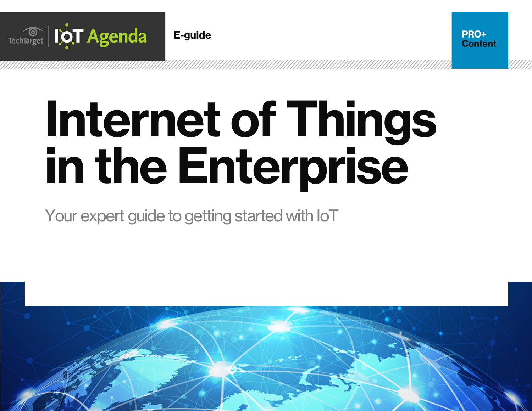

# Internet of Things in the Enterprise

PRO+ **Content** 

Your expert guide to getting started with IoT

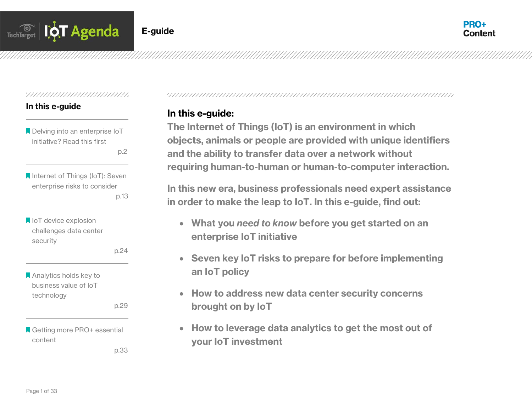

#### 

#### In this e-guide

- **Delving into an enterprise IoT** initiative? Read this first
	- p.2 and the contract of the p.2
- **A** Internet of Things (IoT): Seven enterprise risks to consider p.13
- loT device explosion challenges data center security

p.24

**Analytics holds key to** business value of IoT technology

p.29

Getting more PRO+ essential content

p.33

# In this e-guide:

The Internet of Things (IoT) is an environment in which objects, animals or people are provided with unique identifiers and the ability to transfer data over a network without requiring human-to-human or human-to-computer interaction.

In this new era, business professionals need expert assistance in order to make the leap to IoT. In this e-guide, find out:

- What you *need to know* before you get started on an enterprise IoT initiative
- Seven key IoT risks to prepare for before implementing an IoT policy
- How to address new data center security concerns brought on by IoT
- How to leverage data analytics to get the most out of your IoT investment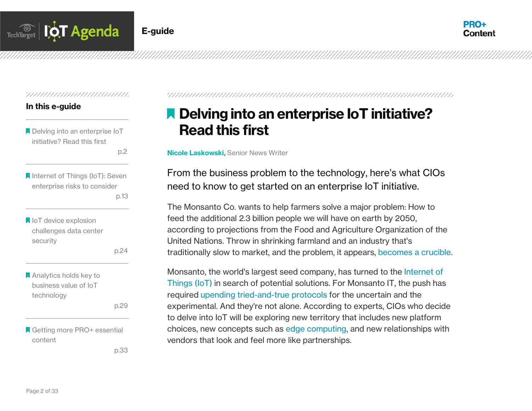



#### 

#### In this e-guide

**A** Delving into an enterprise IoT initiative? Read this first

p.2 and the contract of the p.2

**A** Internet of Things (IoT): Seven enterprise risks to consider p.13

loT device explosion challenges data center security

p.24

**Analytics holds key to** business value of IoT technology

p.29

Getting more PRO+ essential content

p.33

# **A** Delving into an enterprise IoT initiative? Read this first

**Nicole Laskowski, Senior News Writer** 

From the business problem to the technology, here's what CIOs need to know to get started on an enterprise IoT initiative.

The Monsanto Co. wants to help farmers solve a major problem: How to feed the additional 2.3 billion people we will have on earth by 2050, according to projections from the Food and Agriculture Organization of the United Nations. Throw in shrinking farmland and an industry that's traditionally slow to market, and the problem, it appears, [becomes a crucible.](http://searchcio.techtarget.com/feature/Land-O-Lakes-CIO-turns-dirty-data-into-customer-insights)

Monsanto, the world's largest seed company, has turned to the [Internet of](http://whatis.techtarget.com/definition/Internet-of-Things)  [Things \(IoT\)](http://whatis.techtarget.com/definition/Internet-of-Things) in search of potential solutions. For Monsanto IT, the push has required [upending tried-and-true protocols](http://searchcio.techtarget.com/feature/Whirlpool-CIO-The-future-of-IoT-demands-a-new-IT-paradigm) for the uncertain and the experimental. And they're not alone. According to experts, CIOs who decide to delve into IoT will be exploring new territory that includes new platform choices, new concepts such as [edge computing,](http://searchcio.techtarget.com/news/4500249539/Edge-network-key-to-IoT-data-collection-and-transmission) and new relationships with vendors that look and feel more like partnerships.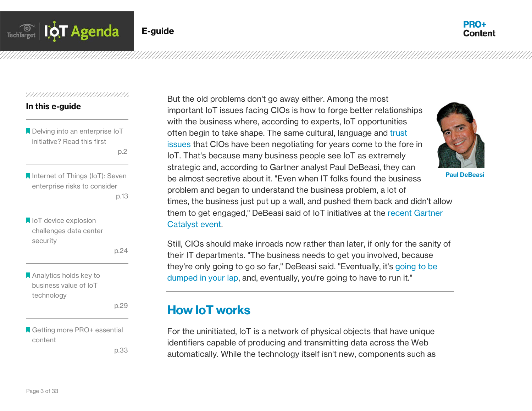

#### 77777777777777777777777777777777

#### In this e-guide

**A** Delving into an enterprise IoT initiative? Read this first

p.2 and the contract of the p.2

**A** Internet of Things (IoT): Seven enterprise risks to consider p.13

loT device explosion challenges data center security

p.24

**Analytics holds key to** business value of IoT technology

p.29

Getting more PRO+ essential content

p.33

But the old problems don't go away either. Among the most important IoT issues facing CIOs is how to forge better relationships with the business where, according to experts, IoT opportunities often begin to take shape. The same cultural, language and [trust](http://searchcio.techtarget.com/opinion/People-in-CIO-positions-should-stay-off-this-list)  [issues](http://searchcio.techtarget.com/opinion/People-in-CIO-positions-should-stay-off-this-list) that CIOs have been negotiating for years come to the fore in IoT. That's because many business people see IoT as extremely strategic and, according to Gartner analyst Paul DeBeasi, they can be almost secretive about it. "Even when IT folks found the business problem and began to understand the business problem, a lot of times, the business just put up a wall, and pushed them back and didn't allow them to get engaged," DeBeasi said of IoT initiatives at the [recent Gartner](http://www.gartner.com/events/na/catalyst/)  [Catalyst event.](http://www.gartner.com/events/na/catalyst/) Paul DeBeasi

Still, CIOs should make inroads now rather than later, if only for the sanity of their IT departments. "The business needs to get you involved, because they're only going to go so far," DeBeasi said. "Eventually, it's [going to be](http://itknowledgeexchange.techtarget.com/total-cio/forrester-cios-will-architect-and-operate-the-internet-of-things/)  [dumped in your lap,](http://itknowledgeexchange.techtarget.com/total-cio/forrester-cios-will-architect-and-operate-the-internet-of-things/) and, eventually, you're going to have to run it."

# How IoT works

For the uninitiated, IoT is a network of physical objects that have unique identifiers capable of producing and transmitting data across the Web automatically. While the technology itself isn't new, components such as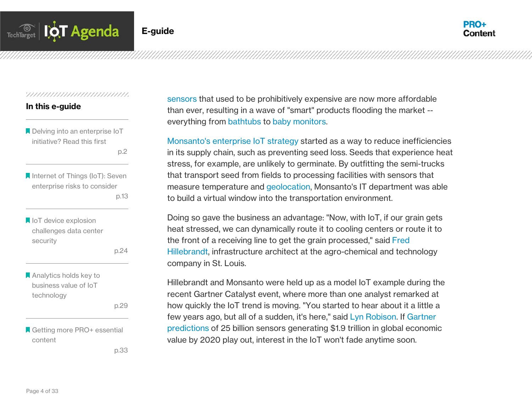

#### In this e-guide

**A** Delving into an enterprise IoT initiative? Read this first

p.2 and the contract of the p.2

**A** Internet of Things (IoT): Seven enterprise risks to consider p.13

loT device explosion challenges data center security

p.24

**A** Analytics holds key to business value of IoT technology

p.29

Getting more PRO+ essential content

p.33

[sensors](http://whatis.techtarget.com/definition/sensor) that used to be prohibitively expensive are now more affordable than ever, resulting in a wave of "smart" products flooding the market - everything from [bathtubs](http://rainemagazine.com/2013/11/smart-hydro-a-bathtub-revolution/) to [baby monitors.](http://www2.withings.com/us/en/products/baby/smart-baby-monitor?)

[Monsanto's enterprise IoT strategy](http://searchcio.techtarget.com/news/4500251513/Gartner-Catalyst-Three-personas-of-a-successful-21st-century-business) started as a way to reduce inefficiencies in its supply chain, such as preventing seed loss. Seeds that experience heat stress, for example, are unlikely to germinate. By outfitting the semi-trucks that transport seed from fields to processing facilities with sensors that measure temperature and [geolocation,](http://searchmobilecomputing.techtarget.com/definition/geolocation) Monsanto's IT department was able to build a virtual window into the transportation environment.

Doing so gave the business an advantage: "Now, with IoT, if our grain gets heat stressed, we can dynamically route it to cooling centers or route it to the front of a receiving line to get the grain processed," said [Fred](https://twitter.com/frhillebrandt)  [Hillebrandt,](https://twitter.com/frhillebrandt) infrastructure architect at the agro-chemical and technology company in St. Louis.

Hillebrandt and Monsanto were held up as a model IoT example during the recent Gartner Catalyst event, where more than one analyst remarked at how quickly the IoT trend is moving. "You started to hear about it a little a few years ago, but all of a sudden, it's here," said [Lyn Robison.](https://www.linkedin.com/in/lynrobison) If [Gartner](http://www.gartner.com/newsroom/id/2970017)  [predictions](http://www.gartner.com/newsroom/id/2970017) of 25 billion sensors generating \$1.9 trillion in global economic value by 2020 play out, interest in the IoT won't fade anytime soon.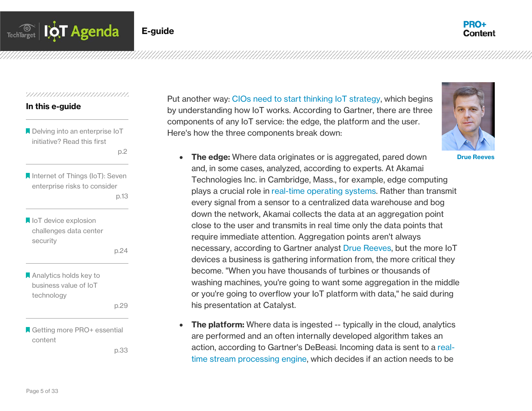

#### 

#### In this e-guide

Delving into an enterprise IoT initiative? Read this first

p.2 and the contract of the p.2

**A** Internet of Things (IoT): Seven enterprise risks to consider p.13

loT device explosion challenges data center security

p.24

Analytics holds key to business value of IoT technology

p.29

Getting more PRO+ essential content

p.33

Put another way: [CIOs need to start thinking IoT strategy,](http://searchcio.techtarget.com/news/4500246872/IoT-will-force-CIOs-to-enter-the-realm-of-operational-technology) which begins by understanding how IoT works. According to Gartner, there are three components of any IoT service: the edge, the platform and the user. Here's how the three components break down:



Drue Reeves

- The edge: Where data originates or is aggregated, pared down and, in some cases, analyzed, according to experts. At Akamai Technologies Inc. in Cambridge, Mass., for example, edge computing plays a crucial role in [real-time operating systems.](http://searchcio.techtarget.com/news/4500249539/Edge-network-key-to-IoT-data-collection-and-transmission) Rather than transmit every signal from a sensor to a centralized data warehouse and bog down the network, Akamai collects the data at an aggregation point close to the user and transmits in real time only the data points that require immediate attention. Aggregation points aren't always necessary, according to Gartner analyst [Drue Reeves,](http://www.gartner.com/analyst/37061/Drue-Reeves) but the more IoT devices a business is gathering information from, the more critical they become. "When you have thousands of turbines or thousands of washing machines, you're going to want some aggregation in the middle or you're going to overflow your IoT platform with data," he said during his presentation at Catalyst.
- The platform: Where data is ingested -- typically in the cloud, analytics are performed and an often internally developed algorithm takes an action, according to Gartner's DeBeasi. Incoming data is sent to a [real](http://searchbusinessanalytics.techtarget.com/feature/Streaming-data-systems-take-big-data-analytics-into-real-time-realm)[time stream processing engine,](http://searchbusinessanalytics.techtarget.com/feature/Streaming-data-systems-take-big-data-analytics-into-real-time-realm) which decides if an action needs to be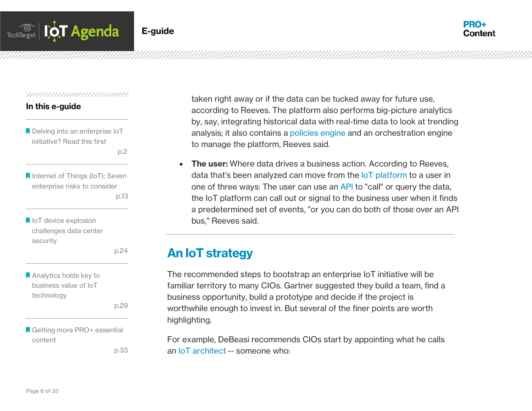

#### In this e-guide

**A** Delving into an enterprise IoT initiative? Read this first

p.2 and the contract of the p.2

**A** Internet of Things (IoT): Seven enterprise risks to consider p.13

loT device explosion challenges data center security

p.24

**Analytics holds key to** business value of IoT technology

p.29

Getting more PRO+ essential content

p.33

taken right away or if the data can be tucked away for future use, according to Reeves. The platform also performs big-picture analytics by, say, integrating historical data with real-time data to look at trending analysis; it also contains a [policies engine](http://searchdatacenter.techtarget.com/definition/policy-engine) and an orchestration engine to manage the platform, Reeves said.

• The user: Where data drives a business action. According to Reeves, data that's been analyzed can move from the [IoT platform](http://itknowledgeexchange.techtarget.com/cio/the-shift-to-platform-strategies-architecting-iot-with-help-from-edge-networks/) to a user in one of three ways: The user can use an [API](http://searchexchange.techtarget.com/definition/application-program-interface) to "call" or query the data, the IoT platform can call out or signal to the business user when it finds a predetermined set of events, "or you can do both of those over an API bus," Reeves said.

# An IoT strategy

The recommended steps to bootstrap an enterprise IoT initiative will be familiar territory to many CIOs. Gartner suggested they build a team, find a business opportunity, build a prototype and decide if the project is worthwhile enough to invest in. But several of the finer points are worth highlighting.

For example, DeBeasi recommends CIOs start by appointing what he calls an [IoT architect](http://searchdatacenter.techtarget.com/feature/Plan-an-Internet-of-Things-architecture-in-the-data-center) -- someone who: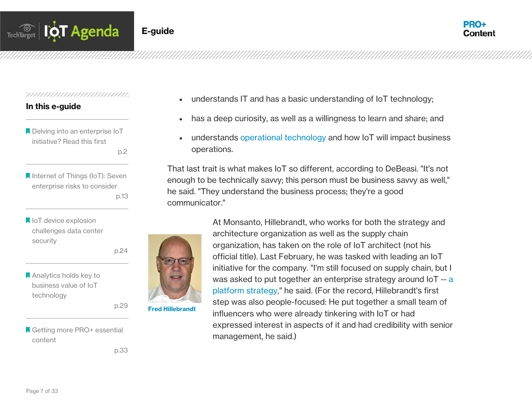

#### In this e-guide

**A** Delving into an enterprise IoT initiative? Read this first

p.2 and the contract of the p.2

- **A** Internet of Things (IoT): Seven enterprise risks to consider p.13
- loT device explosion challenges data center security
	- p.24
- **Analytics holds key to** business value of IoT technology

p.29

Getting more PRO+ essential content

p.33

- understands IT and has a basic understanding of IoT technology;
- has a deep curiosity, as well as a willingness to learn and share; and
- understands [operational technology](http://searchcio.techtarget.com/news/1308982/Gartner-Its-time-for-IT-and-OT-to-merge) and how IoT will impact business operations.

That last trait is what makes IoT so different, according to DeBeasi. "It's not enough to be technically savvy; this person must be business savvy as well," he said. "They understand the business process; they're a good communicator."



At Monsanto, Hillebrandt, who works for both the strategy and architecture organization as well as the supply chain organization, has taken on the role of IoT architect (not his official title). Last February, he was tasked with leading an IoT initiative for the company. "I'm still focused on supply chain, but I was asked to put together an enterprise strategy around IoT -- [a](http://searchcio.techtarget.com/feature/Platform-business-model-picks-up-steam-whats-the-CIO-role)  [platform strategy,](http://searchcio.techtarget.com/feature/Platform-business-model-picks-up-steam-whats-the-CIO-role)" he said. (For the record, Hillebrandt's first step was also people-focused: He put together a small team of influencers who were already tinkering with IoT or had expressed interest in aspects of it and had credibility with senior management, he said.)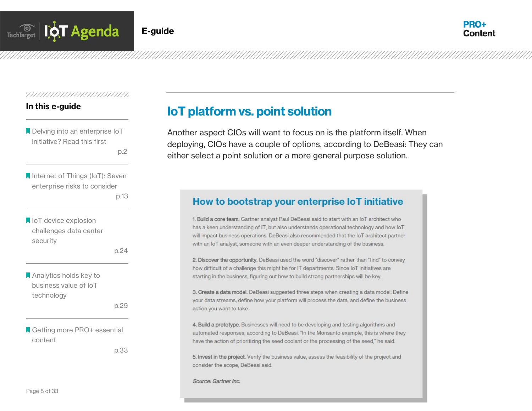

#### In this e-guide

**Delving into an enterprise IoT** initiative? Read this first

p.2 and the contract of the p.2

**A** Internet of Things (IoT): Seven enterprise risks to consider p.13

**IoT** device explosion challenges data center security

p.24

**Analytics holds key to** business value of IoT technology

p.29

**A** Getting more PRO+ essential content

p.33

# IoT platform vs. point solution

Another aspect CIOs will want to focus on is the platform itself. When deploying, CIOs have a couple of options, according to DeBeasi: They can either select a point solution or a more general purpose solution.

# How to bootstrap your enterprise IoT initiative

1. Build a core team. Gartner analyst Paul DeBeasi said to start with an IoT architect who has a keen understanding of IT, but also understands operational technology and how loT will impact business operations. DeBeasi also recommended that the IoT architect partner with an IoT analyst, someone with an even deeper understanding of the business.

2. Discover the opportunity. DeBeasi used the word "discover" rather than "find" to convey how difficult of a challenge this might be for IT departments. Since IoT initiatives are starting in the business, figuring out how to build strong partnerships will be key.

3. Create a data model. DeBeasi suggested three steps when creating a data model: Define your data streams; define how your platform will process the data; and define the business action you want to take.

4. Build a prototype. Businesses will need to be developing and testing algorithms and automated responses, according to DeBeasi. "In the Monsanto example, this is where they have the action of prioritizing the seed coolant or the processing of the seed," he said.

5. Invest in the project. Verify the business value, assess the feasibility of the project and consider the scope, DeBeasi said.

Source: Gartner Inc.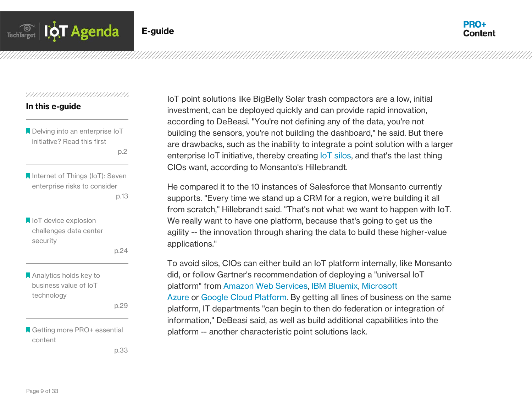

#### 

#### In this e-guide

**A** Delving into an enterprise IoT initiative? Read this first

p.2 and the contract of the p.2

**A** Internet of Things (IoT): Seven enterprise risks to consider p.13

loT device explosion challenges data center security

p.24

Analytics holds key to business value of IoT technology

p.29

■ Getting more PRO+ essential content

p.33

IoT point solutions like BigBelly Solar trash compactors are a low, initial investment, can be deployed quickly and can provide rapid innovation, according to DeBeasi. "You're not defining any of the data, you're not building the sensors, you're not building the dashboard," he said. But there are drawbacks, such as the inability to integrate a point solution with a larger enterprise IoT initiative, thereby creating [IoT silos,](http://searchcloudapplications.techtarget.com/definition/data-silo) and that's the last thing CIOs want, according to Monsanto's Hillebrandt.

He compared it to the 10 instances of Salesforce that Monsanto currently supports. "Every time we stand up a CRM for a region, we're building it all from scratch," Hillebrandt said. "That's not what we want to happen with IoT. We really want to have one platform, because that's going to get us the agility -- the innovation through sharing the data to build these higher-value applications."

To avoid silos, CIOs can either build an IoT platform internally, like Monsanto did, or follow Gartner's recommendation of deploying a "universal IoT platform" from [Amazon Web Services,](https://aws.amazon.com/iot/) [IBM Bluemix,](http://www.ibm.com/cloud-computing/bluemix/) [Microsoft](http://www.microsoft.com/en-us/server-cloud/internet-of-things.aspx)  [Azure](http://www.microsoft.com/en-us/server-cloud/internet-of-things.aspx) or [Google Cloud Platform.](https://cloud.google.com/) By getting all lines of business on the same platform, IT departments "can begin to then do federation or integration of information," DeBeasi said, as well as build additional capabilities into the platform -- another characteristic point solutions lack.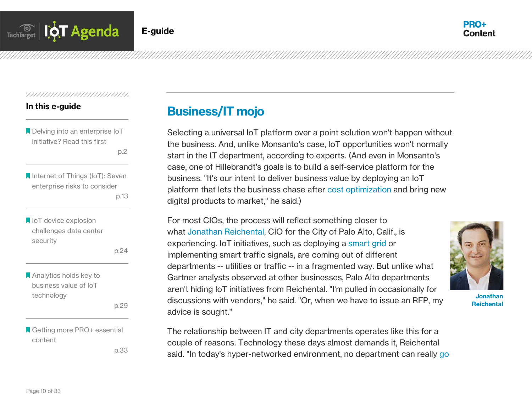

#### In this e-guide

**A** Delving into an enterprise IoT initiative? Read this first

p.2 and the contract of the p.2

**A** Internet of Things (IoT): Seven enterprise risks to consider p.13

loT device explosion challenges data center security

p.24

**Analytics holds key to** business value of IoT technology

p.29

■ Getting more PRO+ essential content

p.33

# Business/IT mojo

Selecting a universal IoT platform over a point solution won't happen without the business. And, unlike Monsanto's case, IoT opportunities won't normally start in the IT department, according to experts. (And even in Monsanto's case, one of Hillebrandt's goals is to build a self-service platform for the business. "It's our intent to deliver business value by deploying an IoT platform that lets the business chase after [cost optimization](http://www.gartner.com/technology/consulting/cost-optimization.jsp) and bring new digital products to market," he said.)

For most CIOs, the process will reflect something closer to what [Jonathan Reichental,](http://searchcio.techtarget.com/feature/City-CIO-propels-open-government-initiative-with-technology-innovation) CIO for the City of Palo Alto, Calif., is experiencing. IoT initiatives, such as deploying a [smart grid](http://whatis.techtarget.com/definition/smart-grid) or implementing smart traffic signals, are coming out of different departments -- utilities or traffic -- in a fragmented way. But unlike what Gartner analysts observed at other businesses, Palo Alto departments aren't hiding IoT initiatives from Reichental. "I'm pulled in occasionally for discussions with vendors," he said. "Or, when we have to issue an RFP, my advice is sought."



Jonathan Reichental

The relationship between IT and city departments operates like this for a couple of reasons. Technology these days almost demands it, Reichental said. "In today's hyper-networked environment, no department can really [go](http://searchcio.techtarget.com/definition/Rogue-IT)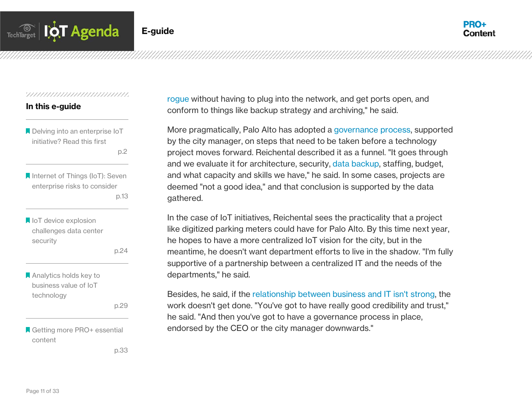

#### In this e-guide

**A** Delving into an enterprise IoT initiative? Read this first

p.2 and the contract of the p.2

**A** Internet of Things (IoT): Seven enterprise risks to consider p.13

loT device explosion challenges data center security

p.24

**A** Analytics holds key to business value of IoT technology

p.29

Getting more PRO+ essential content

p.33

[rogue](http://searchcio.techtarget.com/definition/Rogue-IT) without having to plug into the network, and get ports open, and conform to things like backup strategy and archiving," he said.

More pragmatically, Palo Alto has adopted a [governance process,](http://searchcompliance.techtarget.com/definition/information-governance) supported by the city manager, on steps that need to be taken before a technology project moves forward. Reichental described it as a funnel. "It goes through and we evaluate it for architecture, security, [data backup,](http://searchstorage.techtarget.com/definition/backup) staffing, budget, and what capacity and skills we have," he said. In some cases, projects are deemed "not a good idea," and that conclusion is supported by the data gathered.

In the case of IoT initiatives, Reichental sees the practicality that a project like digitized parking meters could have for Palo Alto. By this time next year, he hopes to have a more centralized IoT vision for the city, but in the meantime, he doesn't want department efforts to live in the shadow. "I'm fully supportive of a partnership between a centralized IT and the needs of the departments," he said.

Besides, he said, if the [relationship between business and IT isn't strong,](http://searchcio.techtarget.com/video/CIO-forms-strong-business-partnerships-by-explaining-value-of-IT) the work doesn't get done. "You've got to have really good credibility and trust," he said. "And then you've got to have a governance process in place, endorsed by the CEO or the city manager downwards."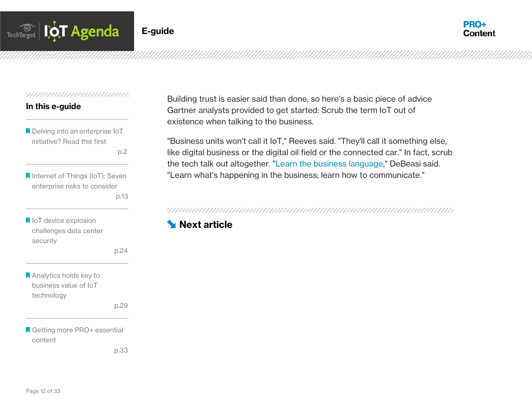



#### 

#### In this e-guide

Delving into an enterprise IoT initiative? Read this first

p.2 and the contract of the p.2

**A** Internet of Things (IoT): Seven enterprise risks to consider p.13

loT device explosion challenges data center security

p.24

**Analytics holds key to** business value of IoT technology

p.29

Getting more PRO+ essential content

p.33

Building trust is easier said than done, so here's a basic piece of advice Gartner analysts provided to get started: Scrub the term IoT out of existence when talking to the business.

"Business units won't call it IoT," Reeves said. "They'll call it something else, like digital business or the digital oil field or the connected car." In fact, scrub the tech talk out altogether. ["Learn the business language,](http://searchcio.techtarget.com/video/CIO-role-in-digital-projects-hinges-on-understanding-business-models)" DeBeasi said. "Learn what's happening in the business; learn how to communicate."

# **[Next article](#page-13-0)**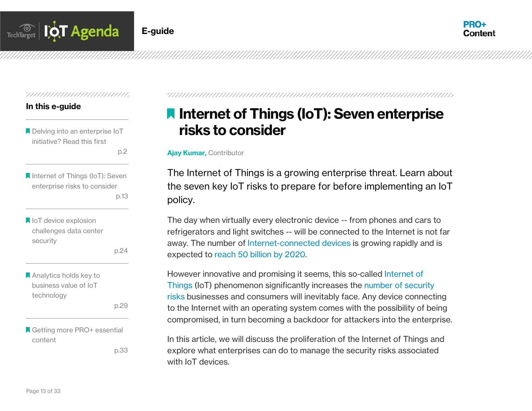



#### 

#### In this e-guide

**Delving into an enterprise IoT** initiative? Read this first

p.2 and the contract of the p.2

**A** Internet of Things (IoT): Seven enterprise risks to consider p.13

loT device explosion challenges data center security

p.24

**Analytics holds key to** business value of IoT technology

p.29

Getting more PRO+ essential content

p.33

<span id="page-13-0"></span>

# **I** Internet of Things (IoT): Seven enterprise risks to consider

#### Ajay Kumar, Contributor

The Internet of Things is a growing enterprise threat. Learn about the seven key IoT risks to prepare for before implementing an IoT policy.

The day when virtually every electronic device -- from phones and cars to refrigerators and light switches -- will be connected to the Internet is not far away. The number of [Internet-connected devices](http://searchsdn.techtarget.com/news/4500254938/NIA-Avayas-ONA-appliance-marries-SDN-IoT) is growing rapidly and is expected to [reach 50 billion by 2020.](http://share.cisco.com/internet-of-things.html)

However innovative and promising it seems, this so-called [Internet of](http://whatis.techtarget.com/definition/Internet-of-Things) [Things](http://whatis.techtarget.com/definition/Internet-of-Things) (IoT) phenomenon significantly increases the [number of security](http://searchsecurity.techtarget.com/tip/Prevent-IoT-security-threats-and-attacks-before-its-too-late)  [risks](http://searchsecurity.techtarget.com/tip/Prevent-IoT-security-threats-and-attacks-before-its-too-late) businesses and consumers will inevitably face. Any device connecting to the Internet with an operating system comes with the possibility of being compromised, in turn becoming a backdoor for attackers into the enterprise.

In this article, we will discuss the proliferation of the Internet of Things and explore what enterprises can do to manage the security risks associated with IoT devices.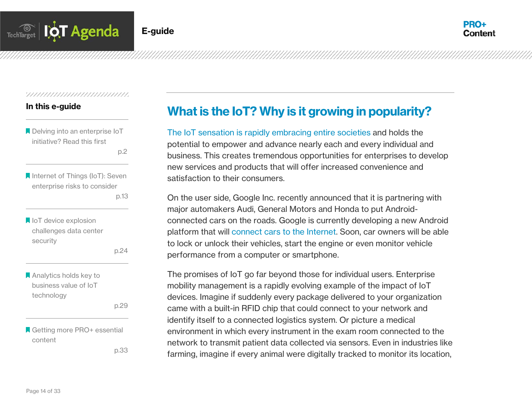

#### In this e-guide

**A** Delving into an enterprise IoT initiative? Read this first

p.2 and the contract of the p.2

- **A** Internet of Things (IoT): Seven enterprise risks to consider p.13
- loT device explosion challenges data center security

p.24

**Analytics holds key to** business value of IoT technology

p.29

Getting more PRO+ essential content

p.33

# What is the IoT? Why is it growing in popularity?

[The IoT sensation is rapidly embracing entire societies](http://internetofthingsagenda.techtarget.com/opinion/CIOs-need-to-get-in-on-the-ground-floor-with-IoT) and holds the potential to empower and advance nearly each and every individual and business. This creates tremendous opportunities for enterprises to develop new services and products that will offer increased convenience and satisfaction to their consumers.

On the user side, Google Inc. recently announced that it is partnering with major automakers Audi, General Motors and Honda to put Androidconnected cars on the roads. Google is currently developing a new Android platform that will [connect cars to the Internet.](http://searchmobilecomputing.techtarget.com/tip/Connected-car-technology-will-drive-business-productivity) Soon, car owners will be able to lock or unlock their vehicles, start the engine or even monitor vehicle performance from a computer or smartphone.

The promises of IoT go far beyond those for individual users. Enterprise mobility management is a rapidly evolving example of the impact of IoT devices. Imagine if suddenly every package delivered to your organization came with a built-in RFID chip that could connect to your network and identify itself to a connected logistics system. Or picture a medical environment in which every instrument in the exam room connected to the network to transmit patient data collected via sensors. Even in industries like farming, imagine if every animal were digitally tracked to monitor its location,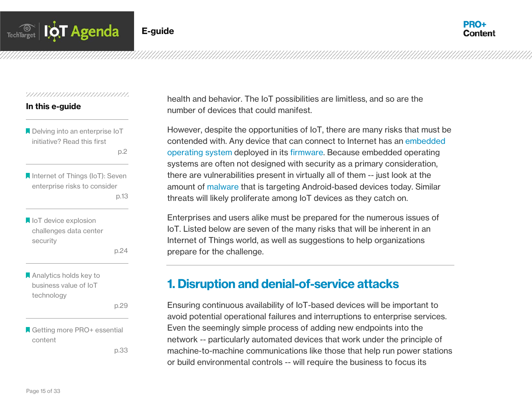

#### 

#### In this e-guide

**A** Delving into an enterprise IoT initiative? Read this first

p.2 and the contract of the p.2

**A** Internet of Things (IoT): Seven enterprise risks to consider p.13

loT device explosion challenges data center security

p.24

**A** Analytics holds key to business value of IoT technology

p.29

Getting more PRO+ essential content

p.33

health and behavior. The IoT possibilities are limitless, and so are the number of devices that could manifest.

However, despite the opportunities of IoT, there are many risks that must be contended with. Any device that can connect to Internet has an [embedded](http://whatis.techtarget.com/definition/embedded-operating-system)  [operating system](http://whatis.techtarget.com/definition/embedded-operating-system) deployed in its [firmware.](http://whatis.techtarget.com/definition/firmware) Because embedded operating systems are often not designed with security as a primary consideration, there are vulnerabilities present in virtually all of them -- just look at the amount of [malware](http://searchmidmarketsecurity.techtarget.com/definition/malware) that is targeting Android-based devices today. Similar threats will likely proliferate among IoT devices as they catch on.

Enterprises and users alike must be prepared for the numerous issues of IoT. Listed below are seven of the many risks that will be inherent in an Internet of Things world, as well as suggestions to help organizations prepare for the challenge.

# 1. Disruption and denial-of-service attacks

Ensuring continuous availability of IoT-based devices will be important to avoid potential operational failures and interruptions to enterprise services. Even the seemingly simple process of adding new endpoints into the network -- particularly automated devices that work under the principle of machine-to-machine communications like those that help run power stations or build environmental controls -- will require the business to focus its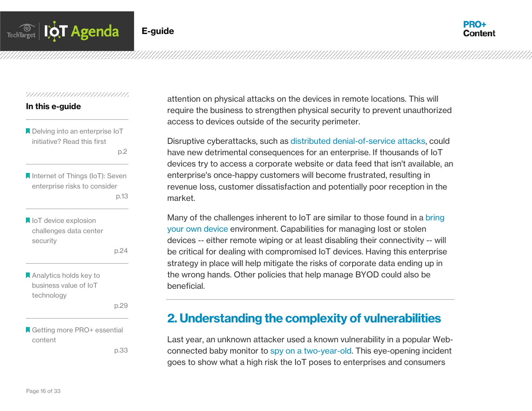

#### In this e-guide

**A** Delving into an enterprise IoT initiative? Read this first

p.2 and the contract of the p.2

**A** Internet of Things (IoT): Seven enterprise risks to consider p.13

loT device explosion challenges data center security

p.24

**A** Analytics holds key to business value of IoT technology

p.29

■ Getting more PRO+ essential content

p.33

attention on physical attacks on the devices in remote locations. This will require the business to strengthen physical security to prevent unauthorized access to devices outside of the security perimeter.

Disruptive cyberattacks, such as [distributed denial-of-service attacks,](http://searchsecurity.techtarget.com/definition/distributed-denial-of-service-attack) could have new detrimental consequences for an enterprise. If thousands of IoT devices try to access a corporate website or data feed that isn't available, an enterprise's once-happy customers will become frustrated, resulting in revenue loss, customer dissatisfaction and potentially poor reception in the market.

Many of the challenges inherent to IoT are similar to those found in a bring [your own device](http://whatis.techtarget.com/definition/BYOD-bring-your-own-device) environment. Capabilities for managing lost or stolen devices -- either remote wiping or at least disabling their connectivity -- will be critical for dealing with compromised IoT devices. Having this enterprise strategy in place will help mitigate the risks of corporate data ending up in the wrong hands. Other policies that help manage BYOD could also be beneficial.

# 2. Understanding the complexity of vulnerabilities

Last year, an unknown attacker used a known vulnerability in a popular Webconnected baby monitor to [spy on a two-year-old.](http://www.forbes.com/sites/kashmirhill/2013/08/27/baby-monitor-hack-could-happen-to-40000-other-foscam-users/) This eye-opening incident goes to show what a high risk the IoT poses to enterprises and consumers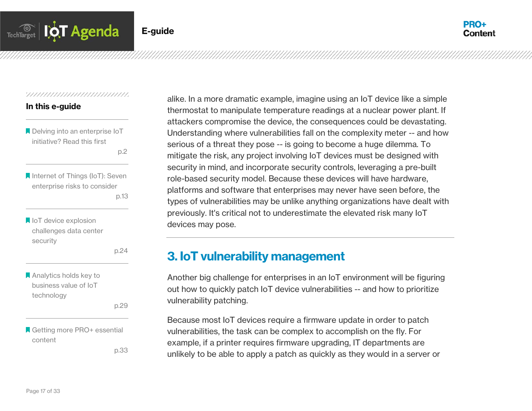

#### 

#### In this e-guide

**A** Delving into an enterprise IoT initiative? Read this first

p.2 and the contract of the p.2

**A** Internet of Things (IoT): Seven enterprise risks to consider p.13

loT device explosion challenges data center security

p.24

**Analytics holds key to** business value of IoT technology

p.29

■ Getting more PRO+ essential content

p.33

alike. In a more dramatic example, imagine using an IoT device like a simple thermostat to manipulate temperature readings at a nuclear power plant. If attackers compromise the device, the consequences could be devastating. Understanding where vulnerabilities fall on the complexity meter -- and how serious of a threat they pose -- is going to become a huge dilemma. To mitigate the risk, any project involving IoT devices must be designed with security in mind, and incorporate security controls, leveraging a pre-built role-based security model. Because these devices will have hardware, platforms and software that enterprises may never have seen before, the types of vulnerabilities may be unlike anything organizations have dealt with previously. It's critical not to underestimate the elevated risk many IoT devices may pose.

# 3. IoT vulnerability management

Another big challenge for enterprises in an IoT environment will be figuring out how to quickly patch IoT device vulnerabilities -- and how to prioritize vulnerability patching.

Because most IoT devices require a firmware update in order to patch vulnerabilities, the task can be complex to accomplish on the fly. For example, if a printer requires firmware upgrading, IT departments are unlikely to be able to apply a patch as quickly as they would in a server or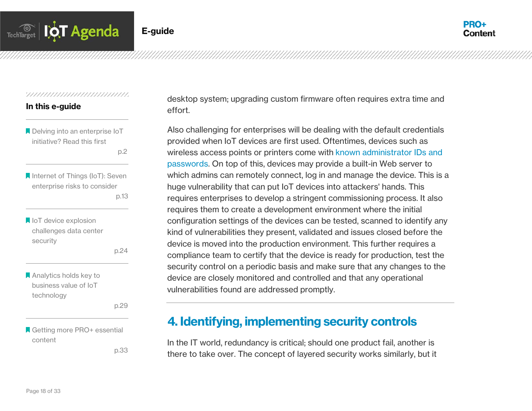

#### 

#### In this e-guide

- **A** Delving into an enterprise IoT initiative? Read this first
	- p.2 and the contract of the p.2
- **A** Internet of Things (IoT): Seven enterprise risks to consider p.13
- loT device explosion challenges data center security

p.24

**A** Analytics holds key to business value of IoT technology

p.29

■ Getting more PRO+ essential content

p.33

desktop system; upgrading custom firmware often requires extra time and effort.

Also challenging for enterprises will be dealing with the default credentials provided when IoT devices are first used. Oftentimes, devices such as wireless access points or printers come with [known administrator IDs and](http://searchsecurity.techtarget.com/answer/Network-security-risks-The-trouble-with-default-passwords)  [passwords.](http://searchsecurity.techtarget.com/answer/Network-security-risks-The-trouble-with-default-passwords) On top of this, devices may provide a built-in Web server to which admins can remotely connect, log in and manage the device. This is a huge vulnerability that can put IoT devices into attackers' hands. This requires enterprises to develop a stringent commissioning process. It also requires them to create a development environment where the initial configuration settings of the devices can be tested, scanned to identify any kind of vulnerabilities they present, validated and issues closed before the device is moved into the production environment. This further requires a compliance team to certify that the device is ready for production, test the security control on a periodic basis and make sure that any changes to the device are closely monitored and controlled and that any operational vulnerabilities found are addressed promptly.

# 4. Identifying, implementing security controls

In the IT world, redundancy is critical; should one product fail, another is there to take over. The concept of layered security works similarly, but it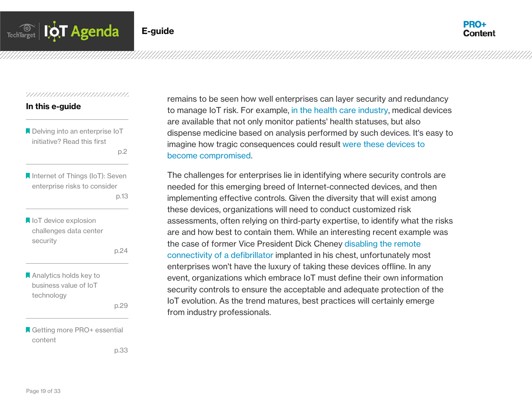

#### 

#### In this e-guide

**Delving into an enterprise IoT** initiative? Read this first

p.2 and the contract of the p.2

**A** Internet of Things (IoT): Seven enterprise risks to consider p.13

loT device explosion challenges data center security

p.24

**A** Analytics holds key to business value of IoT technology

p.29

■ Getting more PRO+ essential content

p.33

remains to be seen how well enterprises can layer security and redundancy to manage IoT risk. For example, [in the health care industry,](http://searchhealthit.techtarget.com/feature/Healthcare-IoT-security-issues-Risks-and-what-to-do-about-them) medical devices are available that not only monitor patients' health statuses, but also dispense medicine based on analysis performed by such devices. It's easy to imagine how tragic consequences could result [were these devices to](http://searchhealthit.techtarget.com/feature/IoT-medical-device-security-calls-for-broader-measures)  [become compromised.](http://searchhealthit.techtarget.com/feature/IoT-medical-device-security-calls-for-broader-measures)

The challenges for enterprises lie in identifying where security controls are needed for this emerging breed of Internet-connected devices, and then implementing effective controls. Given the diversity that will exist among these devices, organizations will need to conduct customized risk assessments, often relying on third-party expertise, to identify what the risks are and how best to contain them. While an interesting recent example was the case of former Vice President Dick Cheney [disabling the remote](http://www.huffingtonpost.com/2013/10/18/dick-cheney-60-minutes_n_4125698.html)  [connectivity of a defibrillator](http://www.huffingtonpost.com/2013/10/18/dick-cheney-60-minutes_n_4125698.html) implanted in his chest, unfortunately most enterprises won't have the luxury of taking these devices offline. In any event, organizations which embrace IoT must define their own information security controls to ensure the acceptable and adequate protection of the IoT evolution. As the trend matures, best practices will certainly emerge from industry professionals.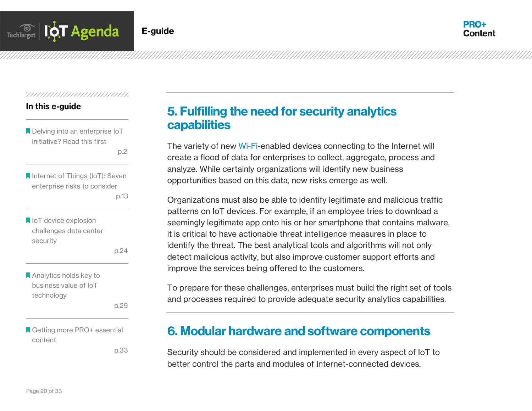

#### In this e-guide

**A** Delving into an enterprise IoT initiative? Read this first

p.2 and the contract of the p.2

**A** Internet of Things (IoT): Seven enterprise risks to consider p.13

loT device explosion challenges data center security

p.24

**A** Analytics holds key to business value of IoT technology

p.29

■ Getting more PRO+ essential content

p.33

# 5. Fulfilling the need for security analytics capabilities

The variety of new [Wi-Fi-](http://searchmobilecomputing.techtarget.com/definition/Wi-Fi)enabled devices connecting to the Internet will create a flood of data for enterprises to collect, aggregate, process and analyze. While certainly organizations will identify new business opportunities based on this data, new risks emerge as well.

Organizations must also be able to identify legitimate and malicious traffic patterns on IoT devices. For example, if an employee tries to download a seemingly legitimate app onto his or her smartphone that contains malware, it is critical to have actionable threat intelligence measures in place to identify the threat. The best analytical tools and algorithms will not only detect malicious activity, but also improve customer support efforts and improve the services being offered to the customers.

To prepare for these challenges, enterprises must build the right set of tools and processes required to provide adequate security analytics capabilities.

# 6. Modular hardware and software components

Security should be considered and implemented in every aspect of IoT to better control the parts and modules of Internet-connected devices.

Page 20 of 33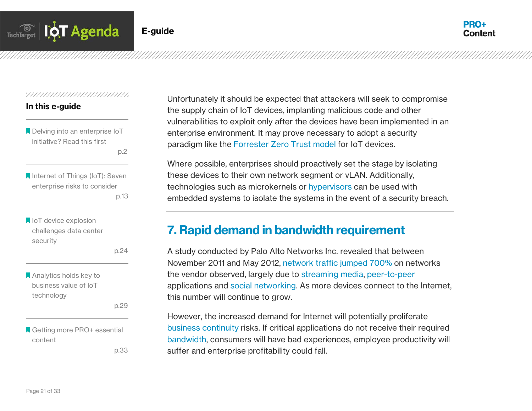

#### In this e-guide

Delving into an enterprise IoT initiative? Read this first

p.2 and the contract of the p.2

**A** Internet of Things (IoT): Seven enterprise risks to consider p.13

loT device explosion challenges data center security

p.24

Analytics holds key to business value of IoT technology

p.29

Getting more PRO+ essential content

p.33

Unfortunately it should be expected that attackers will seek to compromise the supply chain of IoT devices, implanting malicious code and other vulnerabilities to exploit only after the devices have been implemented in an enterprise environment. It may prove necessary to adopt a security paradigm like the [Forrester Zero Trust model](http://searchsecurity.techtarget.com/tip/Adopt-Zero-Trust-to-Help-Secure-The-Extended-Enterprise) for IoT devices.

Where possible, enterprises should proactively set the stage by isolating these devices to their own network segment or vLAN. Additionally, technologies such as microkernels or [hypervisors](http://searchservervirtualization.techtarget.com/definition/hypervisor) can be used with embedded systems to isolate the systems in the event of a security breach.

# 7. Rapid demand in bandwidth requirement

A study conducted by Palo Alto Networks Inc. revealed that between November 2011 and May 2012, [network traffic jumped 700%](http://searchenterprisewan.techtarget.com/news/2240114338/Social-media-traffic-requires-new-WAN-architecture) on networks the vendor observed, largely due to [streaming media,](http://whatis.techtarget.com/definition/streaming-media) [peer-to-peer](http://searchnetworking.techtarget.com/definition/peer-to-peer) applications and [social networking.](http://whatis.techtarget.com/definition/social-networking) As more devices connect to the Internet, this number will continue to grow.

However, the increased demand for Internet will potentially proliferate [business continuity](http://searchstorage.techtarget.com/definition/business-continuance) risks. If critical applications do not receive their required [bandwidth,](http://searchenterprisewan.techtarget.com/definition/bandwidth) consumers will have bad experiences, employee productivity will suffer and enterprise profitability could fall.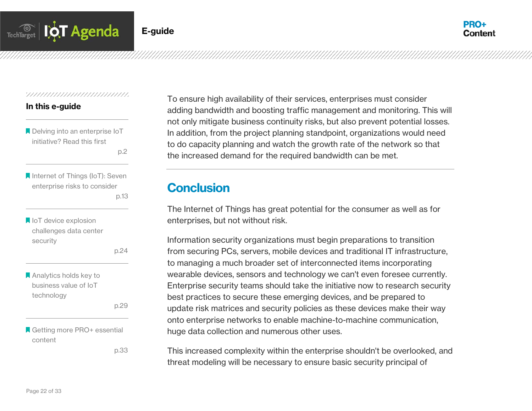

#### In this e-guide

Delving into an enterprise IoT initiative? Read this first

p.2 and the contract of the p.2

**A** Internet of Things (IoT): Seven enterprise risks to consider p.13

```
loT device explosion
challenges data center 
security
```
p.24

**A** Analytics holds key to business value of IoT technology

p.29

■ Getting more PRO+ essential content

p.33

To ensure high availability of their services, enterprises must consider adding bandwidth and boosting traffic management and monitoring. This will not only mitigate business continuity risks, but also prevent potential losses. In addition, from the project planning standpoint, organizations would need to do capacity planning and watch the growth rate of the network so that the increased demand for the required bandwidth can be met.

# **Conclusion**

The Internet of Things has great potential for the consumer as well as for enterprises, but not without risk.

Information security organizations must begin preparations to transition from securing PCs, servers, mobile devices and traditional IT infrastructure, to managing a much broader set of interconnected items incorporating wearable devices, sensors and technology we can't even foresee currently. Enterprise security teams should take the initiative now to research security best practices to secure these emerging devices, and be prepared to update risk matrices and security policies as these devices make their way onto enterprise networks to enable machine-to-machine communication, huge data collection and numerous other uses.

This increased complexity within the enterprise shouldn't be overlooked, and threat modeling will be necessary to ensure basic security principal of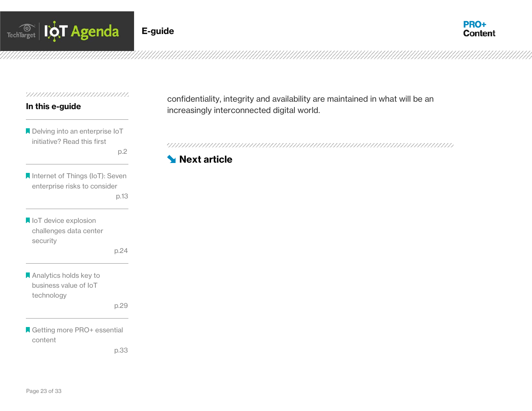



#### 

#### In this e-guide

Delving into an enterprise IoT initiative? Read this first

**Internet of Things (IoT): Seven** enterprise risks to consider p.13

**IoT** device explosion challenges data center security

p.24

p.2

**Analytics holds key to** business value of IoT technology

p.29

Getting more PRO+ essential content

p.33

confidentiality, integrity and availability are maintained in what will be an increasingly interconnected digital world.

## **[Next article](#page-24-0)**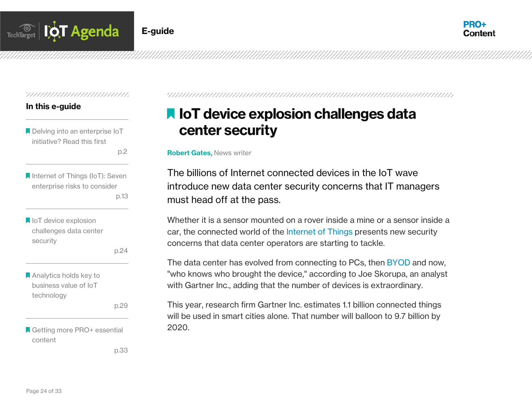

#### 

#### In this e-guide

Delving into an enterprise IoT initiative? Read this first

p.2 and the contract of the p.2

**A** Internet of Things (IoT): Seven enterprise risks to consider p.13

loT device explosion challenges data center security

p.24

**Analytics holds key to** business value of IoT technology

p.29

Getting more PRO+ essential content

p.33

<span id="page-24-0"></span>

# **IN IoT device explosion challenges data** center security

Robert Gates, News writer

The billions of Internet connected devices in the IoT wave introduce new data center security concerns that IT managers must head off at the pass.

Whether it is a sensor mounted on a rover inside a mine or a sensor inside a car, the connected world of the [Internet of Things](http://whatis.techtarget.com/definition/Internet-of-Things) presents new security concerns that data center operators are starting to tackle.

The data center has evolved from connecting to PCs, then [BYOD](http://whatis.techtarget.com/definition/BYOD-bring-your-own-device) and now, "who knows who brought the device," according to Joe Skorupa, an analyst with Gartner Inc., adding that the number of devices is extraordinary.

This year, research firm Gartner Inc. estimates 1.1 billion connected things will be used in smart cities alone. That number will balloon to 9.7 billion by 2020.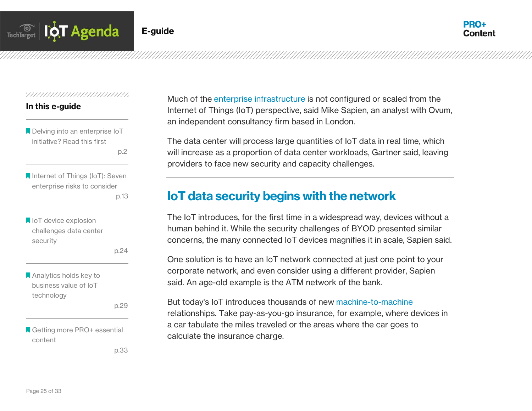

#### In this e-guide

**A** Delving into an enterprise IoT initiative? Read this first

p.2 and the contract of the p.2

**A** Internet of Things (IoT): Seven enterprise risks to consider p.13

```
loT device explosion
challenges data center 
security
```
p.24

**Analytics holds key to** business value of IoT technology

p.29

Getting more PRO+ essential content

p.33

Much of the [enterprise infrastructure](http://searchsdn.techtarget.com/news/4500256800/SD-WAN-could-address-future-IoT-challenges) is not configured or scaled from the Internet of Things (IoT) perspective, said Mike Sapien, an analyst with Ovum, an independent consultancy firm based in London.

The data center will process large quantities of IoT data in real time, which will increase as a proportion of data center workloads, Gartner said, leaving providers to face new security and capacity challenges.

# IoT data security begins with the network

The IoT introduces, for the first time in a widespread way, devices without a human behind it. While the security challenges of BYOD presented similar concerns, the many connected IoT devices magnifies it in scale, Sapien said.

One solution is to have an IoT network connected at just one point to your corporate network, and even consider using a different provider, Sapien said. An age-old example is the ATM network of the bank.

But today's IoT introduces thousands of new [machine-to-machine](http://whatis.techtarget.com/definition/machine-to-machine-M2M) relationships. Take pay-as-you-go insurance, for example, where devices in a car tabulate the miles traveled or the areas where the car goes to calculate the insurance charge.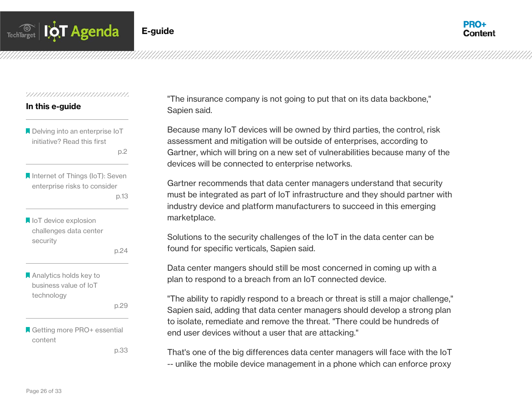

#### In this e-guide

**A** Delving into an enterprise IoT initiative? Read this first

p.2 and the contract of the p.2

**A** Internet of Things (IoT): Seven enterprise risks to consider p.13

loT device explosion challenges data center security

p.24

**A** Analytics holds key to business value of IoT technology

p.29

**A** Getting more PRO+ essential content

p.33

"The insurance company is not going to put that on its data backbone," Sapien said.

Because many IoT devices will be owned by third parties, the control, risk assessment and mitigation will be outside of enterprises, according to Gartner, which will bring on a new set of vulnerabilities because many of the devices will be connected to enterprise networks.

Gartner recommends that data center managers understand that security must be integrated as part of IoT infrastructure and they should partner with industry device and platform manufacturers to succeed in this emerging marketplace.

Solutions to the security challenges of the IoT in the data center can be found for specific verticals, Sapien said.

Data center mangers should still be most concerned in coming up with a plan to respond to a breach from an IoT connected device.

"The ability to rapidly respond to a breach or threat is still a major challenge," Sapien said, adding that data center managers should develop a strong plan to isolate, remediate and remove the threat. "There could be hundreds of end user devices without a user that are attacking."

That's one of the big differences data center managers will face with the IoT -- unlike the mobile device management in a phone which can enforce proxy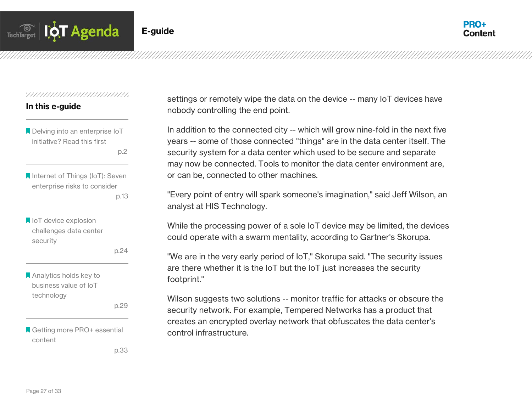

#### In this e-guide

**A** Delving into an enterprise IoT initiative? Read this first

p.2 and the contract of the p.2

**A** Internet of Things (IoT): Seven enterprise risks to consider p.13

loT device explosion challenges data center security

p.24

**Analytics holds key to** business value of IoT technology

p.29

Getting more PRO+ essential content

p.33

settings or remotely wipe the data on the device -- many IoT devices have nobody controlling the end point.

In addition to the connected city -- which will grow nine-fold in the next five years -- some of those connected "things" are in the data center itself. The security system for a data center which used to be secure and separate may now be connected. Tools to monitor the data center environment are, or can be, connected to other machines.

"Every point of entry will spark someone's imagination," said Jeff Wilson, an analyst at HIS Technology.

While the processing power of a sole IoT device may be limited, the devices could operate with a swarm mentality, according to Gartner's Skorupa.

"We are in the very early period of IoT," Skorupa said. "The security issues are there whether it is the IoT but the IoT just increases the security footprint."

Wilson suggests two solutions -- monitor traffic for attacks or obscure the security network. For example, Tempered Networks has a product that creates an encrypted overlay network that obfuscates the data center's control infrastructure.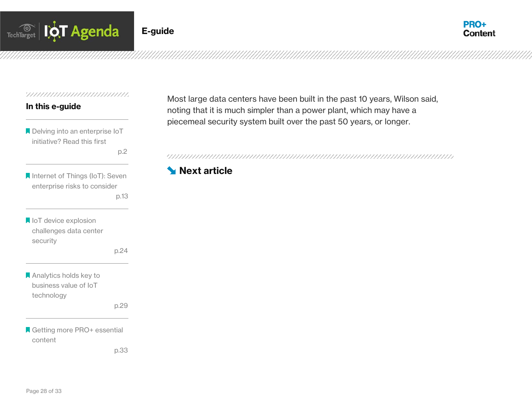



#### 

#### In this e-guide

Delving into an enterprise IoT initiative? Read this first

p.2

**Internet of Things (IoT): Seven** enterprise risks to consider p.13

loT device explosion challenges data center security

p.24

**Analytics holds key to** business value of IoT technology

p.29

Getting more PRO+ essential content

p.33

Most large data centers have been built in the past 10 years, Wilson said, noting that it is much simpler than a power plant, which may have a piecemeal security system built over the past 50 years, or longer.

# **[Next article](#page-32-0)**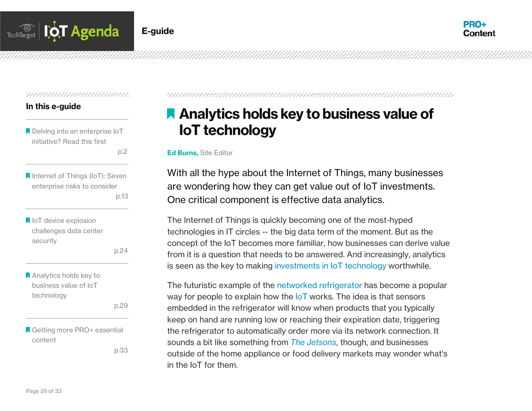



#### 

#### In this e-guide

**A** Delving into an enterprise IoT initiative? Read this first

p.2 and the contract of the p.2

**A** Internet of Things (IoT): Seven enterprise risks to consider p.13

loT device explosion challenges data center security

p.24

**Analytics holds key to** business value of IoT technology

p.29

Getting more PRO+ essential content

p.33

# **A** Analytics holds key to business value of [IoT technology](#page-32-0)

#### Ed Burns, [Site Editor](#page-32-0)

With all the hype about the Internet of Things, many businesses are wondering how they can get value out of IoT investments. One critical component is effective data analytics.

The Internet of Things is quickly becoming one of the most-hyped technologies in IT circles -- the big data term of the moment. But as the concept of the IoT becomes more familiar, how businesses can derive value from it is a question that needs to be answered. And increasingly, analytics is seen as the key to making [investments in IoT technology](http://searchmanufacturingerp.techtarget.com/tip/A-look-at-IoT-platforms-that-rely-on-local-intelligence) worthwhile.

The futuristic example of the [networked refrigerator](http://uxmag.com/articles/the-internet-of-things-and-the-mythical-smart-fridge) has become a popular way for people to explain how the [IoT](http://whatis.techtarget.com/definition/Internet-of-Things) works. The idea is that sensors embedded in the refrigerator will know when products that you typically keep on hand are running low or reaching their expiration date, triggering the refrigerator to automatically order more via its network connection. It sounds a bit like something from *[The Jetsons](http://www.imdb.com/title/tt0055683/)*, though, and businesses outside of the home appliance or food delivery markets may wonder what's in the IoT for them.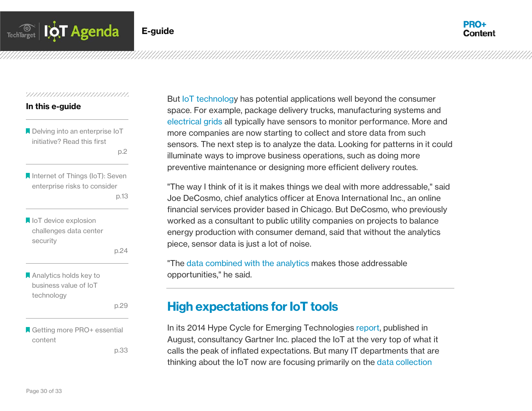

#### 

#### In this e-guide

**A** Delving into an enterprise IoT initiative? Read this first

p.2 and the contract of the p.2

**A** Internet of Things (IoT): Seven enterprise risks to consider p.13

loT device explosion challenges data center security

p.24

**Analytics holds key to** business value of IoT technology

p.29

Getting more PRO+ essential content

p.33

But [IoT technology](http://searchenterprisedesktop.techtarget.com/feature/Internet-of-Things-devices-could-be-a-roller-coaster-for-desktop-admins) has potential applications well beyond the consumer space. For example, package delivery trucks, manufacturing systems and [electrical grids](http://whatis.techtarget.com/definition/smart-grid) all typically have sensors to monitor performance. More and more companies are now starting to collect and store data from such sensors. The next step is to analyze the data. Looking for patterns in it could illuminate ways to improve business operations, such as doing more preventive maintenance or designing more efficient delivery routes.

"The way I think of it is it makes things we deal with more addressable," said Joe DeCosmo, chief analytics officer at Enova International Inc., an online financial services provider based in Chicago. But DeCosmo, who previously worked as a consultant to public utility companies on projects to balance energy production with consumer demand, said that without the analytics piece, sensor data is just a lot of noise.

"The [data combined with the analytics](http://searchbusinessanalytics.techtarget.com/feature/Enovas-chief-analytics-officer-on-managing-an-analytics-team) makes those addressable opportunities," he said.

# High expectations for IoT tools

In its 2014 Hype Cycle for Emerging Technologies [report,](http://www.gartner.com/newsroom/id/2819918) published in August, consultancy Gartner Inc. placed the IoT at the very top of what it calls the peak of inflated expectations. But many IT departments that are thinking about the IoT now are focusing primarily on the [data collection](http://searchdatacenter.techtarget.com/news/2240209084/Internet-of-Things-data-deluge-to-impact-data-centers-IT-market)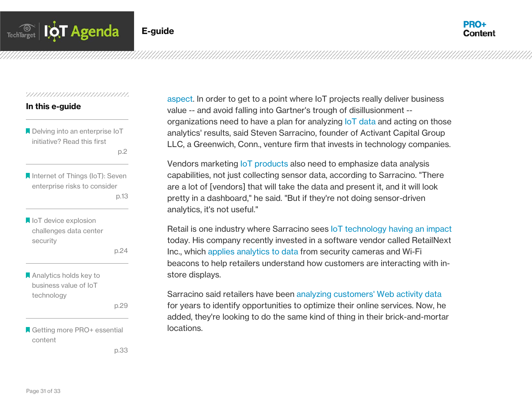

#### 

#### In this e-guide

**A** Delving into an enterprise IoT initiative? Read this first

p.2 and the contract of the p.2

**A** Internet of Things (IoT): Seven enterprise risks to consider p.13

loT device explosion challenges data center security

p.24

**A** Analytics holds key to business value of IoT technology

p.29

Getting more PRO+ essential content

p.33

[aspect.](http://searchdatacenter.techtarget.com/news/2240209084/Internet-of-Things-data-deluge-to-impact-data-centers-IT-market) In order to get to a point where IoT projects really deliver business value -- and avoid falling into Gartner's trough of disillusionment - organizations need to have a plan for analyzing [IoT data](http://searchnetworking.techtarget.com/feature/Whats-the-best-network-for-transporting-and-collecting-IoT-data) and acting on those analytics' results, said Steven Sarracino, founder of Activant Capital Group LLC, a Greenwich, Conn., venture firm that invests in technology companies.

Vendors marketing **IoT** products also need to emphasize data analysis capabilities, not just collecting sensor data, according to Sarracino. "There are a lot of [vendors] that will take the data and present it, and it will look pretty in a dashboard," he said. "But if they're not doing sensor-driven analytics, it's not useful."

Retail is one industry where Sarracino sees [IoT technology having an impact](http://searchoracle.techtarget.com/feature/Pool-pump-motor-shows-off-end-to-end-Oracle-IoT-implementation) today. His company recently invested in a software vendor called RetailNext Inc., which [applies analytics to data](http://searchbusinessanalytics.techtarget.com/feature/Spark-analytics-applications-get-boost-from-built-in-libraries) from security cameras and Wi-Fi beacons to help retailers understand how customers are interacting with instore displays.

Sarracino said retailers have been [analyzing customers' Web activity data](http://searchbusinessanalytics.techtarget.com/news/2240112082/Clickstream-data-edges-retailer-into-big-data-analytics-territory) for years to identify opportunities to optimize their online services. Now, he added, they're looking to do the same kind of thing in their brick-and-mortar locations.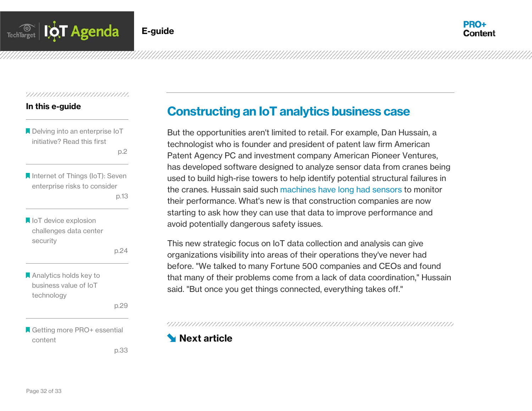

#### In this e-guide

**A** Delving into an enterprise IoT initiative? Read this first

p.2 and the contract of the p.2

- **A** Internet of Things (IoT): Seven enterprise risks to consider p.13
- loT device explosion challenges data center security

p.24

**Analytics holds key to** business value of IoT technology

p.29

Getting more PRO+ essential content

p.33

# Constructing an IoT analytics business case

But the opportunities aren't limited to retail. For example, Dan Hussain, a technologist who is founder and president of patent law firm American Patent Agency PC and investment company American Pioneer Ventures, has developed software designed to analyze sensor data from cranes being used to build high-rise towers to help identify potential structural failures in the cranes. Hussain said such [machines have long had sensors](http://searchbusinessanalytics.techtarget.com/feature/Sensors-offer-big-data-users-an-operational-analytics-edge) to monitor their performance. What's new is that construction companies are now starting to ask how they can use that data to improve performance and avoid potentially dangerous safety issues.

This new strategic focus on IoT data collection and analysis can give organizations visibility into areas of their operations they've never had before. "We talked to many Fortune 500 companies and CEOs and found that many of their problems come from a lack of data coordination," Hussain said. "But once you get things connected, everything takes off."

# <span id="page-32-0"></span>**Next article**